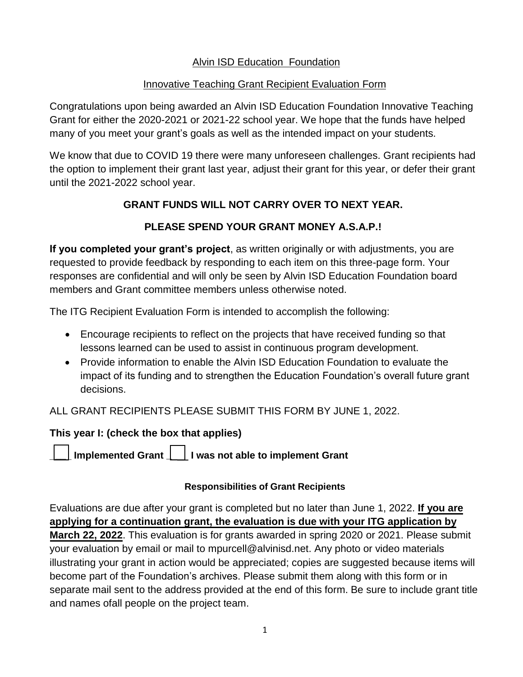## Alvin ISD Education Foundation

## Innovative Teaching Grant Recipient Evaluation Form

Congratulations upon being awarded an Alvin ISD Education Foundation Innovative Teaching Grant for either the 2020-2021 or 2021-22 school year. We hope that the funds have helped many of you meet your grant's goals as well as the intended impact on your students.

We know that due to COVID 19 there were many unforeseen challenges. Grant recipients had the option to implement their grant last year, adjust their grant for this year, or defer their grant until the 2021-2022 school year.

# **GRANT FUNDS WILL NOT CARRY OVER TO NEXT YEAR.**

# **PLEASE SPEND YOUR GRANT MONEY A.S.A.P.!**

**If you completed your grant's project**, as written originally or with adjustments, you are requested to provide feedback by responding to each item on this three-page form. Your responses are confidential and will only be seen by Alvin ISD Education Foundation board members and Grant committee members unless otherwise noted.

The ITG Recipient Evaluation Form is intended to accomplish the following:

- Encourage recipients to reflect on the projects that have received funding so that lessons learned can be used to assist in continuous program development.
- Provide information to enable the Alvin ISD Education Foundation to evaluate the impact of its funding and to strengthen the Education Foundation's overall future grant decisions.

ALL GRANT RECIPIENTS PLEASE SUBMIT THIS FORM BY JUNE 1, 2022.

## **This year I: (check the box that applies)**

**\_ \_\_\_ Implemented Grant \_\_\_\_ I was not able to implement Grant** 

#### **Responsibilities of Grant Recipients**

Evaluations are due after your grant is completed but no later than June 1, 2022. **If you are applying for a continuation grant, the evaluation is due with your ITG application by March 22, 2022**. This evaluation is for grants awarded in spring 2020 or 2021. Please submit your evaluation by email or mail to [mpurcell@alvinisd.net. A](mailto:mpurcell@alvinisd.net)ny photo or video materials illustrating your grant in action would be appreciated; copies are suggested because items will become part of the Foundation's archives. Please submit them along with this form or in separate mail sent to the address provided at the end of this form. Be sure to include grant title and names of all people on the project team.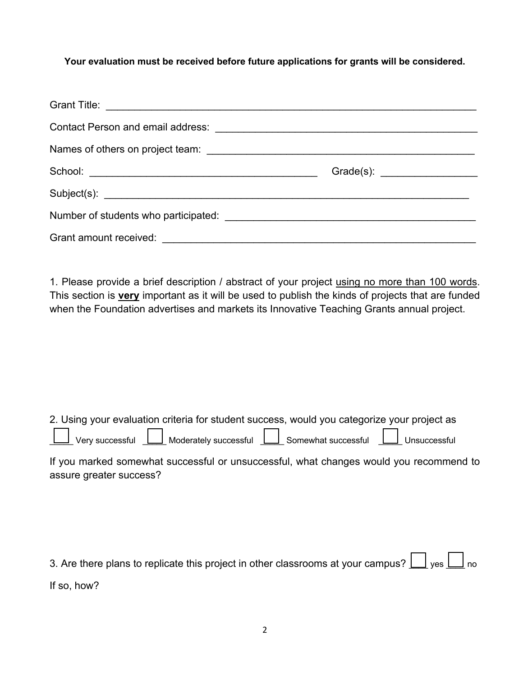#### **Your evaluation must be received before future applications for grants will be considered.**

1. Please provide a brief description / abstract of your project using no more than 100 words. This section is **very** important as it will be used to publish the kinds of projects that are funded when the Foundation advertises and markets its Innovative Teaching Grants annual project.

|                               |                               | 2. Using your evaluation criteria for student success, would you categorize your project as |              |
|-------------------------------|-------------------------------|---------------------------------------------------------------------------------------------|--------------|
| $\Box$ Verv successful $\Box$ | $\perp$ Moderately successful | Somewhat successful                                                                         | Unsuccessful |

If you marked somewhat successful or unsuccessful, what changes would you recommend to assure greater success?

| 3. Are there plans to replicate this project in other classrooms at your campus? $\Box$ yes $\Box$ no |  |  |
|-------------------------------------------------------------------------------------------------------|--|--|
| If so, how?                                                                                           |  |  |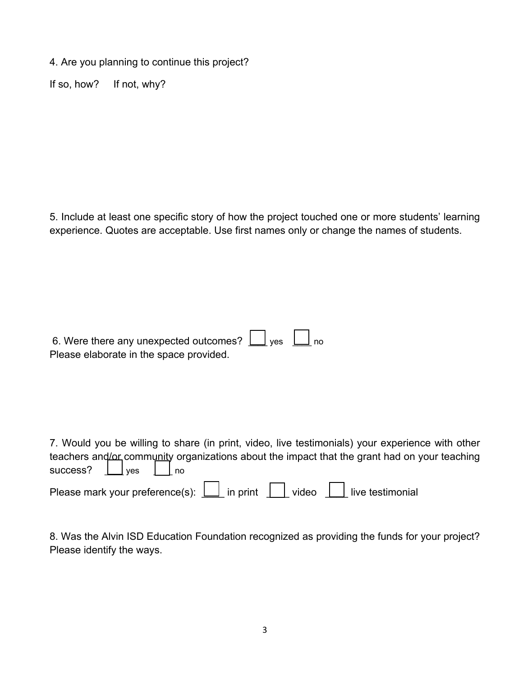4. Are you planning to continue this project?

If so, how? If not, why?

5. Include at least one specific story of how the project touched one or more students' learning experience. Quotes are acceptable. Use first names only or change the names of students.

| 6. Were there any unexpected outcomes? $\boxed{\phantom{1}}$ yes $\phantom{1}\boxed{\phantom{1}}$ no |  |  |
|------------------------------------------------------------------------------------------------------|--|--|
| Please elaborate in the space provided.                                                              |  |  |

7. Would you be willing to share (in print, video, live testimonials) your experience with other teachers and/or community organizations about the impact that the grant had on your teaching success?  $\Box$  yes  $\Box$  no

| Please mark your preference(s): | in print | video | live testimonial |
|---------------------------------|----------|-------|------------------|
|---------------------------------|----------|-------|------------------|

8. Was the Alvin ISD Education Foundation recognized as providing the funds for your project? Please identify the ways.